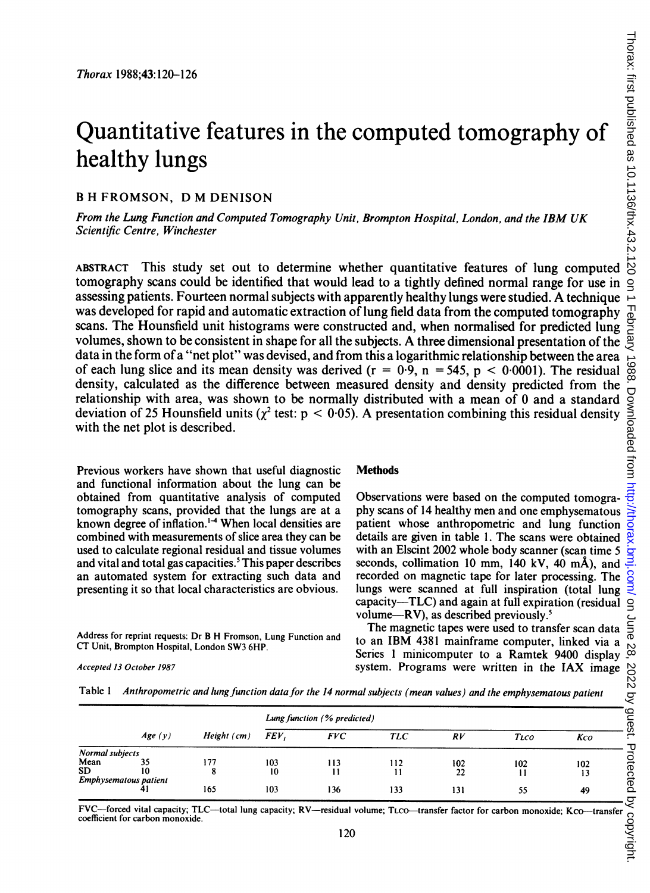# Quantitative features in the computed tomography of healthy lungs

## <sup>B</sup> H FROMSON, D M DENISON

From the Lung Function and Computed Tomography Unit, Brompton Hospital, London, and the IBM UK Scientific Centre, Winchester

ABSTRACT This study set out to determine whether quantitative features of lung computed tomography scans could be identified that would lead to a tightly defined normal range for use in assessing patients. Fourteen normal subjects with apparently healthy lungs were studied. A technique was developed for rapid and automatic extraction of lung field data from the computed tomography scans. The Hounsfield unit histograms were constructed and, when normalised for predicted lung was developed for rapid and automatic extraction of lung field data from the computed tomography  $\frac{1}{2}$  scans. The Hounsfield unit histograms were constructed and, when normalised for predicted lung  $\frac{1}{2}$  volumes, data in the form of a "net plot" was devised, and from this a logarithmic relationship between the area of each lung slice and its mean density was derived ( $r = 0.9$ ,  $n = 545$ ,  $p < 0.0001$ ). The residual density, calculated as the difference between measured density and density predicted from the relationship with area, was shown to be normally distributed with a mean of 0 and a standard deviation of 25 Hounsfield units ( $\gamma^2$  test: p < 0.05). A presentation combining this residual density with the net plot is described.

Previous workers have shown that useful diagnostic and functional information about the lung can be obtained from quantitative analysis of computed tomography scans, provided that the lungs are at a known degree of inflation.<sup>14</sup> When local densities are combined with measurements of slice area they can be used to calculate regional residual and tissue volumes and vital and total gas capacities.<sup>5</sup> This paper describes an automated system for extracting such data and presenting it so that local characteristics are obvious.

**Methods** 

Observations were based on the computed tomography scans of 14 healthy men and one emphysematous patient whose anthropometric and lung function details are given in table 1. The scans were obtained with an Elscint 2002 whole body scanner (scan time 5 seconds, collimation <sup>10</sup> mm, 140 kV, 40 mA), and recorded on magnetic tape for later processing. The lungs were scanned at full inspiration (total lung capacity-TLC) and again at full expiration (residual volume- $RV$ ), as described previously.<sup>5</sup>

Address for reprint requests: Dr B H Fromson, Lung Function and CT Unit, Brompton Hospital, London SW3 6HP.

The magnetic tapes were used to transfer scan data to an IBM 4381 mainframe computer, linked via <sup>a</sup> system. Programs were written in the IAX image

Table 1 Anthropometric and lung function data for the 14 normal subjects (mean values) and the emphysematous patient

| CT Unit, Brompton Hospital, London SW3 6HP.<br>Accepted 13 October 1987<br>Table 1 |                                  |               |                                             |              | to an TDM $\pi$ <sub>201</sub> manifestic computer, inked via a $\mu$<br>Series 1 minicomputer to a Ramtek 9400 display $\infty$<br>system. Programs were written in the IAX image $\bigotimes_{N=1}^{\infty}$<br>Anthropometric and lung function data for the 14 normal subjects (mean values) and the emphysematous patient |     |              |     |  |
|------------------------------------------------------------------------------------|----------------------------------|---------------|---------------------------------------------|--------------|--------------------------------------------------------------------------------------------------------------------------------------------------------------------------------------------------------------------------------------------------------------------------------------------------------------------------------|-----|--------------|-----|--|
|                                                                                    |                                  |               | ्ट<br>guest.<br>Lung function (% predicted) |              |                                                                                                                                                                                                                                                                                                                                |     |              |     |  |
|                                                                                    | Age(y)                           | Height $(cm)$ | FEV,                                        | <b>FVC</b>   | <b>TLC</b>                                                                                                                                                                                                                                                                                                                     | RV  | <b>TLCO</b>  | Kco |  |
| Normal subjects                                                                    |                                  |               |                                             |              |                                                                                                                                                                                                                                                                                                                                |     |              |     |  |
| Mean                                                                               | 35                               | 177           | 103                                         | 113          | 112                                                                                                                                                                                                                                                                                                                            | 102 | 102          | 102 |  |
| SD.                                                                                | 10<br>Emphysematous patient      | 8             | 10                                          | $\mathbf{1}$ | 11                                                                                                                                                                                                                                                                                                                             | 22  | $\mathbf{1}$ | 13  |  |
|                                                                                    | 41                               | 165           | 103                                         | 136          | 133                                                                                                                                                                                                                                                                                                                            | 131 | 55           | 49  |  |
|                                                                                    | coefficient for carbon monoxide. |               |                                             | 120          | FVC-forced vital capacity; TLC-total lung capacity; RV-residual volume; TLCO-transfer factor for carbon monoxide; KcO-transfer                                                                                                                                                                                                 |     |              |     |  |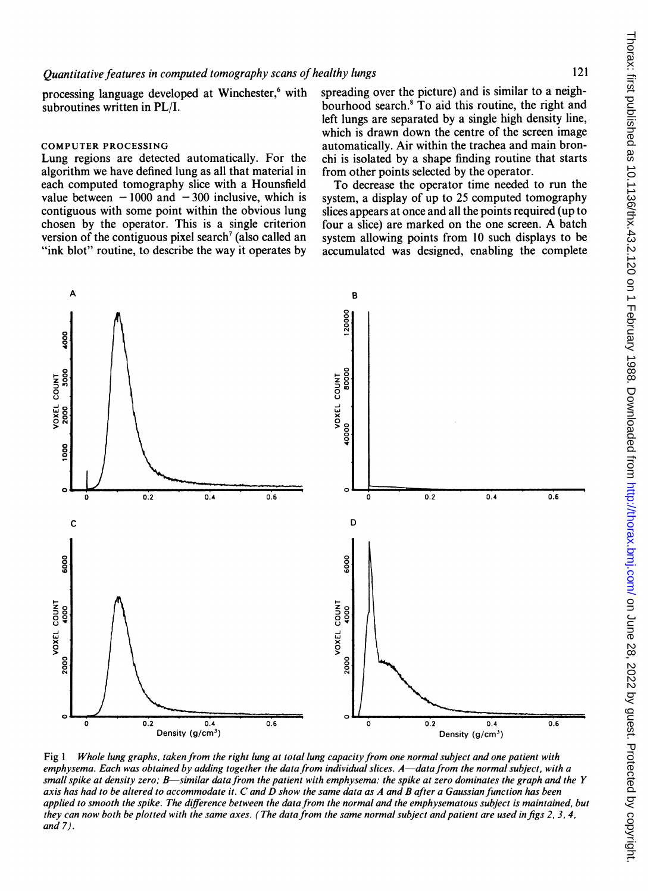processing language developed at Winchester.<sup>6</sup> with subroutines written in PL/I.

#### COMPUTER PROCESSING

Lung regions are detected automatically. For the algorithm we have defined lung as all that material in each computed tomography slice with a Hounsfield value between  $-1000$  and  $-300$  inclusive, which is contiguous with some point within the obvious lung chosen by the operator. This is a single criterion version of the contiguous pixel search<sup> $\theta$ </sup> (also called an "ink blot" routine, to describe the way it operates by spreading over the picture) and is similar to a neighbourhood search.8 To aid this routine, the right and left lungs are separated by a single high density line, which is drawn down the centre of the screen image automatically. Air within the trachea and main bronchi is isolated by a shape finding routine that starts from other points selected by the operator.

To decrease the operator time needed to run the system, a display of up to 25 computed tomography slices appears at once and all the points required (up to four <sup>a</sup> slice) are marked on the one screen. A batch system allowing points from 10 such displays to be accumulated was designed, enabling the complete



Fig 1 Whole lung graphs, taken from the right lung at total lung capacity from one normal subject and one patient with emphysema. Each was obtained by adding together the data from individual slices. A—data from the normal subject, with a small spike at density zero; B—similar data from the patient with emphysema: the spike at zero dominates the graph and the Y axis has had to be altered to accommodate it. C and D show the same data as A and B after <sup>a</sup> Gaussian function has been applied to smooth the spike. The difference between the data from the normal and the emphysematous subject is maintained, but they can now both be plotted with the same axes. (The data from the same normal subject and patient are used in figs  $2, 3, 4$ , and 7).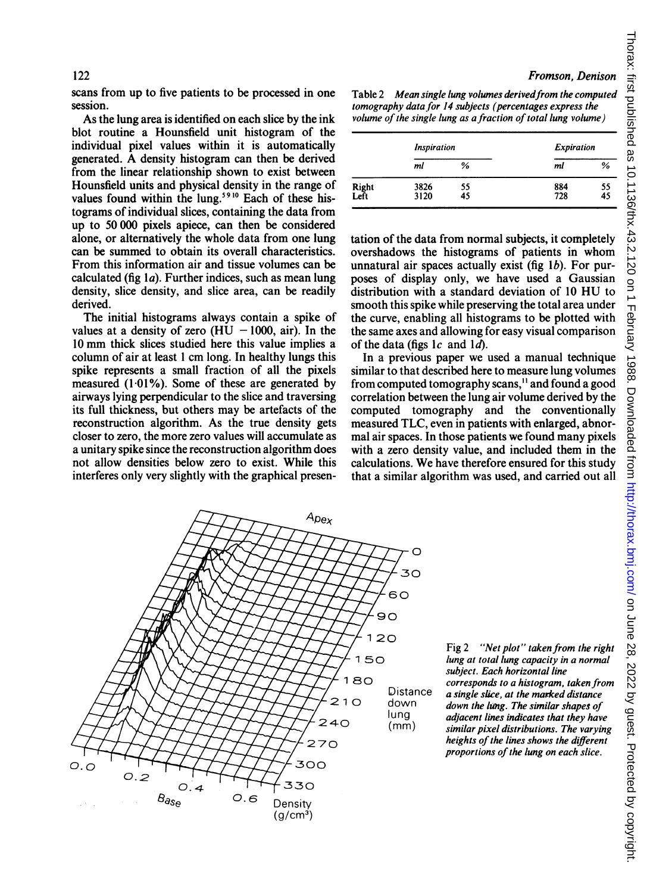scans from up to five patients to be processed in one session.

As the lung area is identified on each slice by the ink blot routine a Hounsfield unit histogram of the individual pixel values within it is automatically generated. A density histogram can then be derived from the linear relationship shown to exist between Hounsfield units and physical density in the range of values found within the lung.<sup>5910</sup> Each of these histograms of individual slices, containing the data from up to 50 000 pixels apiece, can then be considered alone, or alternatively the whole data from one lung can be summed to obtain its overall characteristics. From this information air and tissue volumes can be calculated (fig  $1a$ ). Further indices, such as mean lung density, slice density, and slice area, can be readily derived.

The initial histograms always contain a spike of values at a density of zero (HU  $-1000$ , air). In the <sup>10</sup> mm thick slices studied here this value implies <sup>a</sup> column of air at least <sup>1</sup> cm long. In healthy lungs this spike represents a small fraction of all the pixels measured (1-01%). Some of these are generated by airways lying perpendicular to the slice and traversing its full thickness, but others may be artefacts of the reconstruction algorithm. As the true density gets closer to zero, the more zero values will accumulate as a unitary spike since the reconstruction algorithm does not allow densities below zero to exist. While this interferes only very slightly with the graphical presenTable 2 Mean single lung volumes derived from the computed tomography data for 14 subjects (percentages express the volume of the single lung as a fraction of total lung volume)

|               | <b>Inspiration</b> |          |            | <b>Expiration</b> |  |  |
|---------------|--------------------|----------|------------|-------------------|--|--|
|               | ml                 | %        | ml         | %                 |  |  |
| Right<br>Left | 3826<br>3120       | 55<br>45 | 884<br>728 | 55<br>45          |  |  |

tation of the data from normal subjects, it completely overshadows the histograms of patients in whom unnatural air spaces actually exist (fig  $1b$ ). For purposes of display only, we have used a Gaussian distribution with <sup>a</sup> standard deviation of <sup>10</sup> HU to smooth this spike while preserving the total area under the curve, enabling all histograms to be plotted with the same axes and allowing for easy visual comparison of the data (figs  $1c$  and  $1d$ ).

In a previous paper we used a manual technique similar to that described here to measure lung volumes from computed tomography scans,<sup>11</sup> and found a good correlation between the lung air volume derived by the computed tomography and the conventionally measured TLC, even in patients with enlarged, abnormal air spaces. In those patients we found many pixels with a zero density value, and included them in the calculations. We have therefore ensured for this study that a similar algorithm was used, and carried out all



Fig 2 "Net plot" taken from the right lung at total lung capacity in a normal subject. Each horizontal line corresponds to a histogram, taken from a single slice, at the marked distance down the lung. The similar shapes of adjacent lines indicates that they have similar pixel distributions. The varying heights of the lines shows the different proportions of the lung on each slice.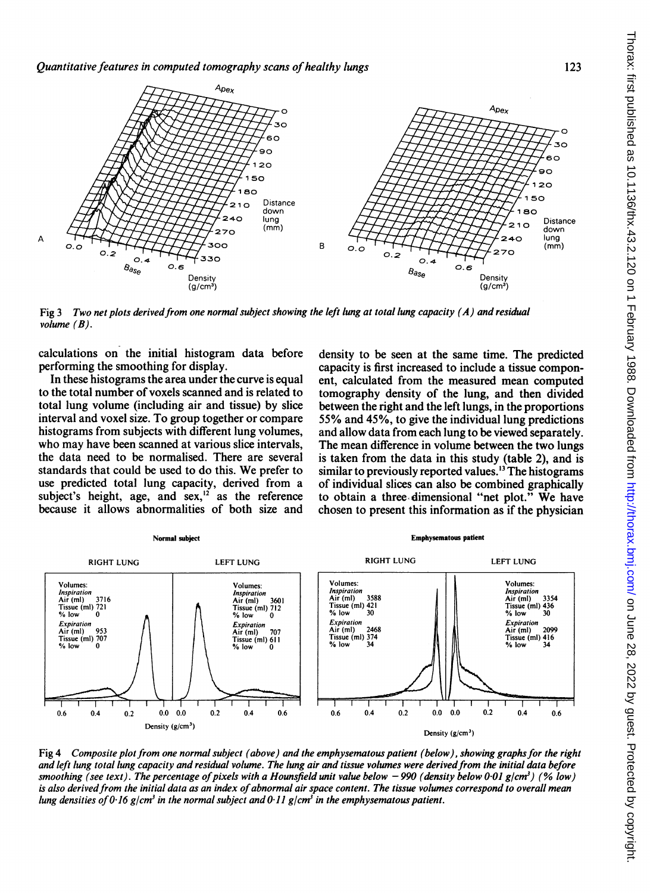

Fig 3 Two net plots derived from one normal subject showing the left lung at total lung capacity (A) and residual volume  $(B)$ .

calculations on the initial histogram data before performing the smoothing for display.

In these histograms the area under the curve is equal to the total number of voxels scanned and is related to total lung volume (including air and tissue) by slice interval and voxel size. To group together or compare histograms from subjects with different lung volumes, who may have been scanned at various slice intervals, the data need to be normalised. There are several standards that could be used to do this. We prefer to use predicted total lung capacity, derived from a subject's height, age, and  $sex$ ,<sup>12</sup> as the reference because it allows abnormalities of both size and density to be seen at the same time. The predicted capacity is first increased to include a tissue component, calculated from the measured mean computed tomography density of the lung, and then divided between the right and the left lungs, in the proportions 55% and 45%, to give the individual lung predictions and allow data from each lung to be viewed separately. The mean difference in volume between the two lungs is taken from the data in this study (table 2), and is similar to previously reported values.<sup>13</sup> The histograms of individual slices can also be combined graphically to obtain <sup>a</sup> three-dimensional "net plot." We have chosen to present this information as if the physician



Fig 4 Composite plot from one normal subject (above) and the emphysematous patient (below), showing graphs for the right and left lung total lung capacity and residual volume. The lung air and tissue volumes were derivedfrom the initial data before smoothing (see text). The percentage of pixels with a Hounsfield unit value below -990 (density below 0-01 g/cm<sup>3</sup>) (% low) is also derived from the initial data as an index of abnormal air space content. The tissue volumes correspond to overall mean lung densities of 0.16 g/cm<sup>3</sup> in the normal subject and 0.11 g/cm<sup>3</sup> in the emphysematous patient.

123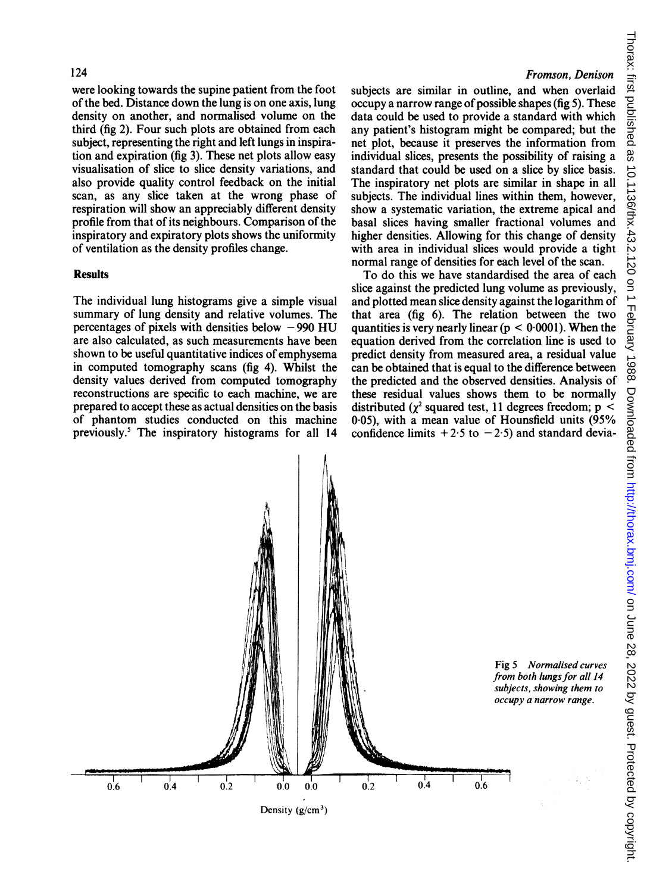were looking towards the supine patient from the foot of the bed. Distance down the lung is on one axis, lung density on another, and normalised volume on the third (fig 2). Four such plots are obtained from each subject, representing the right and left lungs in inspiration and expiration (fig 3). These net plots allow easy visualisation of slice to slice density variations, and also provide quality control feedback on the initial scan, as any slice taken at the wrong phase of respiration will show an appreciably different density profile from that of its neighbours. Comparison of the inspiratory and expiratory plots shows the uniformity of ventilation as the density profiles change.

#### **Results**

The individual lung histograms give a simple visual summary of lung density and relative volumes. The percentages of pixels with densities below  $-990$  HU are also calculated, as such measurements have been shown to be useful quantitative indices of emphysema in computed tomography scans (fig 4). Whilst the density values derived from computed tomography reconstructions are specific to each machine, we are prepared to accept these as actual densities on the basis of phantom studies conducted on this machine previously.5 The inspiratory histograms for all 14

## Fromson, Denison

subjects are similar in outline, and when overlaid  $\alpha$  occupy a narrow range of possible shapes (fig 5). These data could be used to provide a standard with which any patient's histogram might be compared; but the net plot, because it preserves the information from individual slices, presents the possibility of raising a standard that could be used on a slice by slice basis. The inspiratory net plots are similar in shape in all subjects. The individual lines within them, however, show a systematic variation, the extreme apical and basal slices having smaller fractional volumes and higher densities. Allowing for this change of density with area in individual slices would provide a tight normal range of densities for each level of the scan.

To do this we have standardised the area of each slice against the predicted lung volume as previously, and plotted mean slice density against the logarithm of that area (fig 6). The relation between the two quantities is very nearly linear ( $p < 0.0001$ ). When the equation derived from the correlation line is used to predict density from measured area, a residual value can be obtained that is equal to the difference between the predicted and the observed densities. Analysis of these residual values shows them to be normally distributed ( $\gamma^2$  squared test, 11 degrees freedom; p < 0 05), with a mean value of Hounsfield units (95% confidence limits  $+2.5$  to  $-2.5$ ) and standard devia-

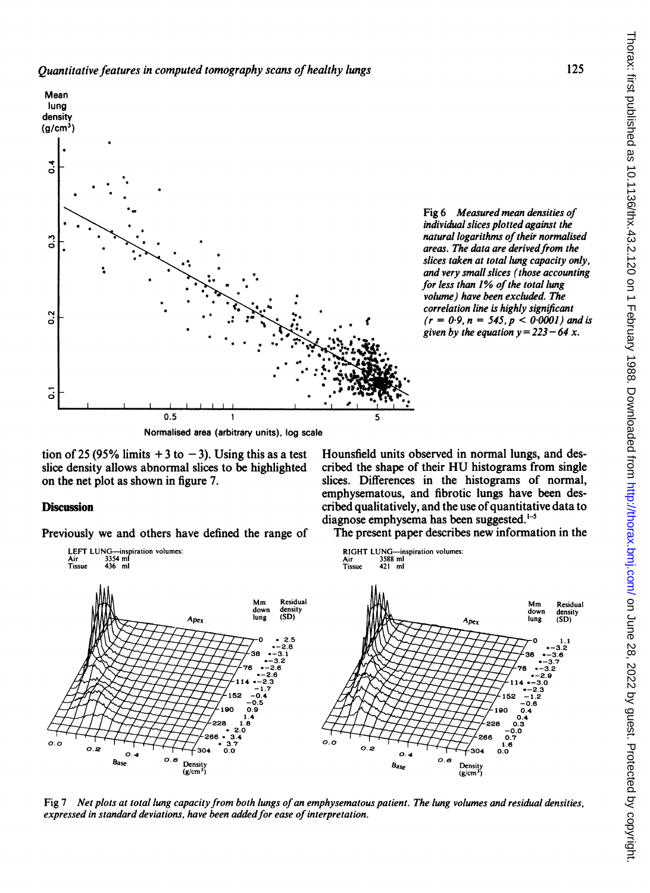

Fig 6 Measured mean densities of individual slices plotted against the natural logarithms of their normalised areas. The data are derived from the slices taken at total lung capacity only, and very small slices (those accounting for less than  $1%$  of the total lung volume) have been excluded. The correlation line is highly significant  $(r = 0.9, n = 545, p < 0.0001)$  and is given by the equation  $y = 223 - 64 x$ .

Normalised area (arbitrary units), log scale

tion of 25 (95% limits  $+3$  to  $-3$ ). Using this as a test slice density allows abnormal slices to be highlighted on the net plot as shown in figure 7.

## **Discussion**

Previously we and others have defined the range of

Hounsfield units observed in normal lungs, and described the shape of their HU histograms from single slices. Differences in the histograms of normal, emphysematous, and fibrotic lungs have been described qualitatively, and the use of quantitative data to diagnose emphysema has been suggested.<sup>1-5</sup>

The present paper describes new information in the



Fig 7 Net plots at total lung capacity from both lungs of an emphysematous patient. The lung volumes and residual densities, expressed in standard deviations, have been added for ease of interpretation.